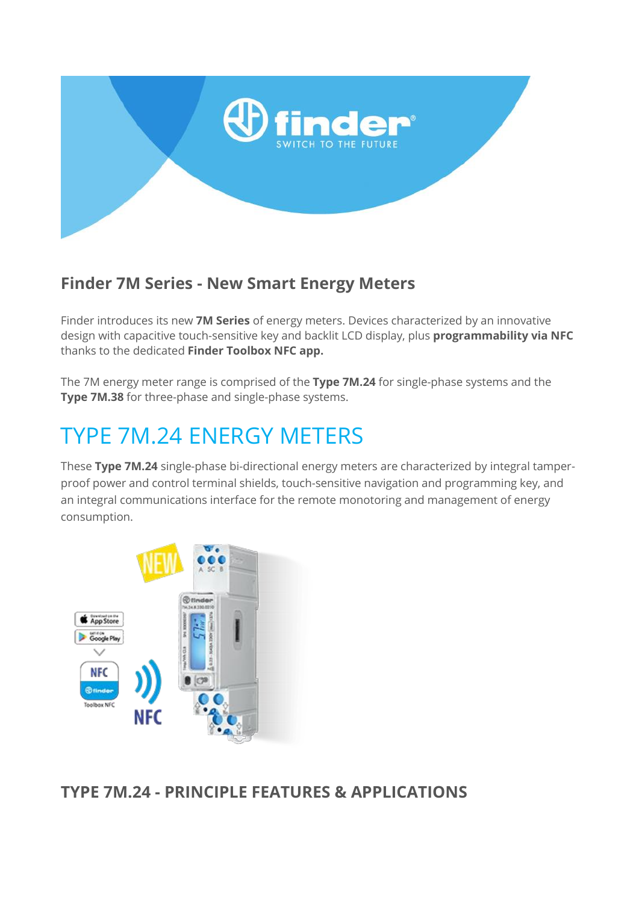

## **Finder 7M Series - New Smart Energy Meters**

Finder introduces its new **7M Series** of energy meters. Devices characterized by an innovative design with capacitive touch-sensitive key and backlit LCD display, plus **programmability via NFC** thanks to the dedicated **Finder Toolbox NFC app.**

The 7M energy meter range is comprised of the **Type 7M.24** for single-phase systems and the **Type 7M.38** for three-phase and single-phase systems.

## TYPE 7M.24 ENERGY METERS

These **Type 7M.24** single-phase bi-directional energy meters are characterized by integral tamperproof power and control terminal shields, touch-sensitive navigation and programming key, and an integral communications interface for the remote monotoring and management of energy consumption.



**TYPE 7M.24 - PRINCIPLE FEATURES & APPLICATIONS**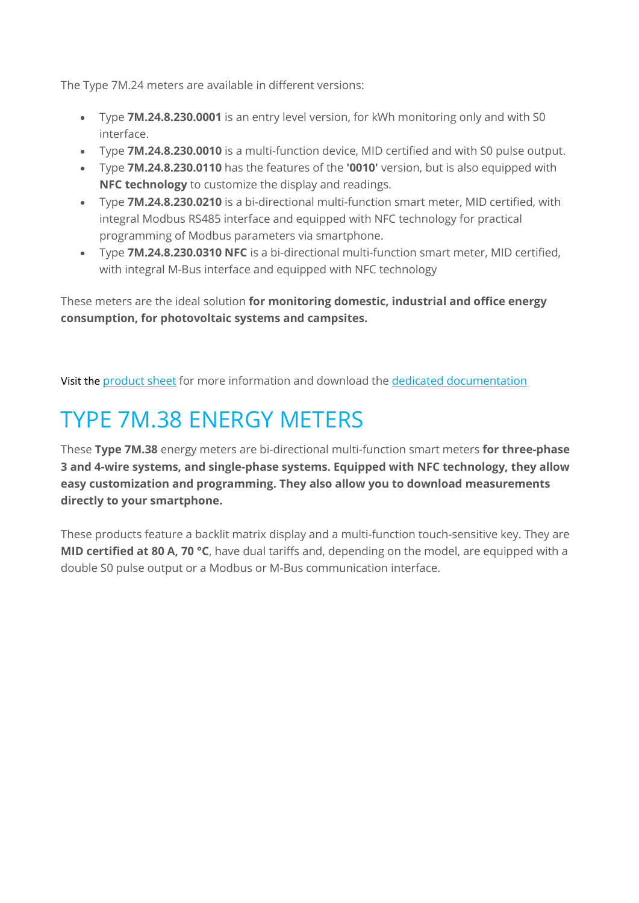The Type 7M.24 meters are available in different versions:

- Type **7M.24.8.230.0001** is an entry level version, for kWh monitoring only and with S0 interface.
- Type **7M.24.8.230.0010** is a multi-function device, MID certified and with S0 pulse output.
- Type **7M.24.8.230.0110** has the features of the **'0010'** version, but is also equipped with **NFC technology** to customize the display and readings.
- Type **7M.24.8.230.0210** is a bi-directional multi-function smart meter, MID certified, with integral Modbus RS485 interface and equipped with NFC technology for practical programming of Modbus parameters via smartphone.
- Type **7M.24.8.230.0310 NFC** is a bi-directional multi-function smart meter, MID certified, with integral M-Bus interface and equipped with NFC technology

These meters are the ideal solution **for monitoring domestic, industrial and office energy consumption, for photovoltaic systems and campsites.**

Visit the [product sheet](www.findernet.com/en/lithuania/series/7m-series-smart-energy-meters/type/type-7m-24-single-phase-bi-directional-energy-meters-with-backlit-lcd-display/) for more information and download the [dedicated documentation](https://cdn.findernet.com/app/uploads/2021/04/21122724/ZDPENXX7M24.pdf)

## TYPE 7M.38 ENERGY METERS

These **Type 7M.38** energy meters are bi-directional multi-function smart meters **for three-phase 3 and 4-wire systems, and single-phase systems. Equipped with NFC technology, they allow easy customization and programming. They also allow you to download measurements directly to your smartphone.**

These products feature a backlit matrix display and a multi-function touch-sensitive key. They are **MID certified at 80 A, 70 °C**, have dual tariffs and, depending on the model, are equipped with a double S0 pulse output or a Modbus or M-Bus communication interface.